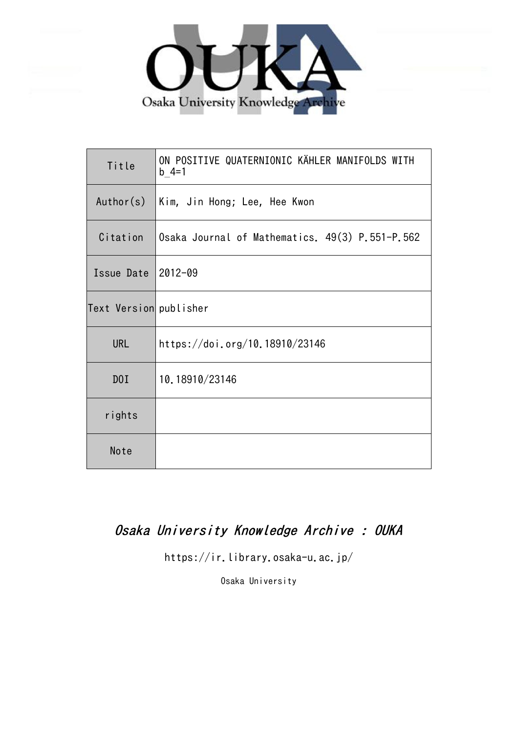

| Title                  | ON POSITIVE QUATERNIONIC KÄHLER MANIFOLDS WITH<br>$b = 4 = 1$ |
|------------------------|---------------------------------------------------------------|
| Author(s)              | Kim, Jin Hong; Lee, Hee Kwon                                  |
| Citation               | Osaka Journal of Mathematics. 49(3) P.551-P.562               |
| Issue Date             | $2012 - 09$                                                   |
| Text Version publisher |                                                               |
| <b>URL</b>             | https://doi.org/10.18910/23146                                |
| DOI                    | 10.18910/23146                                                |
| rights                 |                                                               |
| Note                   |                                                               |

# Osaka University Knowledge Archive : OUKA

https://ir.library.osaka-u.ac.jp/

Osaka University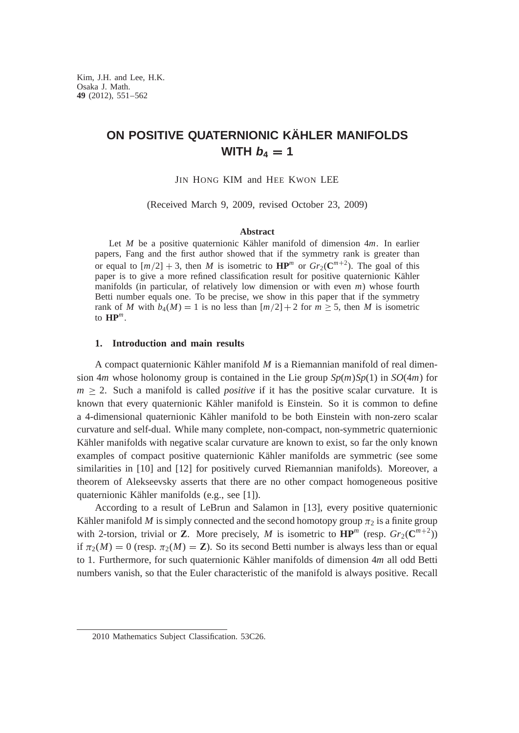## **ON POSITIVE QUATERNIONIC KÄHLER MANIFOLDS WITH**  $b_4 = 1$

JIN HONG KIM and HEE KWON LEE

(Received March 9, 2009, revised October 23, 2009)

### **Abstract**

Let *M* be a positive quaternionic Kähler manifold of dimension 4*m*. In earlier papers, Fang and the first author showed that if the symmetry rank is greater than or equal to  $[m/2] + 3$ , then *M* is isometric to  $\mathbf{HP}^m$  or  $Gr_2(\mathbf{C}^{m+2})$ . The goal of this paper is to give a more refined classification result for positive quaternionic Kähler manifolds (in particular, of relatively low dimension or with even *m*) whose fourth Betti number equals one. To be precise, we show in this paper that if the symmetry rank of *M* with  $b_4(M) = 1$  is no less than  $[m/2] + 2$  for  $m \ge 5$ , then *M* is isometric to  $\mathbf{HP}^m$ .

#### **1. Introduction and main results**

A compact quaternionic Kähler manifold *M* is a Riemannian manifold of real dimension 4*m* whose holonomy group is contained in the Lie group *Sp*(*m*)*Sp*(1) in *SO*(4*m*) for  $m \geq 2$ . Such a manifold is called *positive* if it has the positive scalar curvature. It is known that every quaternionic Kähler manifold is Einstein. So it is common to define a 4-dimensional quaternionic Kähler manifold to be both Einstein with non-zero scalar curvature and self-dual. While many complete, non-compact, non-symmetric quaternionic Kähler manifolds with negative scalar curvature are known to exist, so far the only known examples of compact positive quaternionic Kähler manifolds are symmetric (see some similarities in [10] and [12] for positively curved Riemannian manifolds). Moreover, a theorem of Alekseevsky asserts that there are no other compact homogeneous positive quaternionic Kähler manifolds (e.g., see [1]).

According to a result of LeBrun and Salamon in [13], every positive quaternionic Kähler manifold *M* is simply connected and the second homotopy group  $\pi_2$  is a finite group with 2-torsion, trivial or **Z**. More precisely, M is isometric to  $\mathbf{HP}^m$  (resp.  $Gr_2(\mathbf{C}^{m+2})$ ) if  $\pi_2(M) = 0$  (resp.  $\pi_2(M) = \mathbb{Z}$ ). So its second Betti number is always less than or equal to 1. Furthermore, for such quaternionic Kähler manifolds of dimension 4*m* all odd Betti numbers vanish, so that the Euler characteristic of the manifold is always positive. Recall

<sup>2010</sup> Mathematics Subject Classification. 53C26.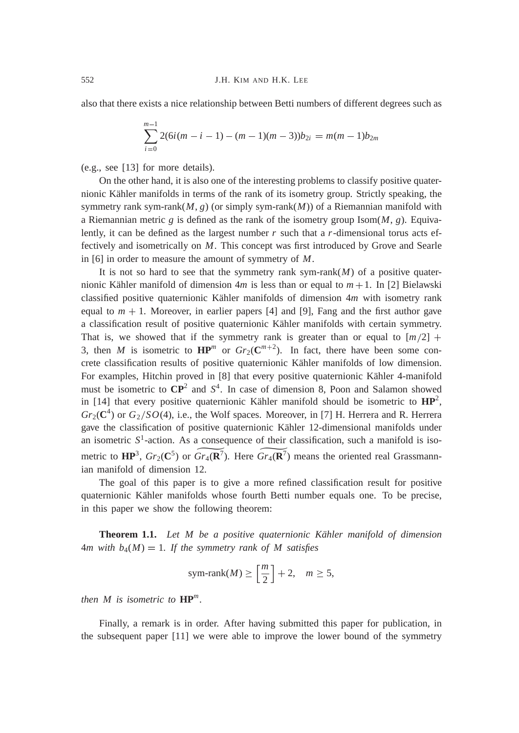also that there exists a nice relationship between Betti numbers of different degrees such as

$$
\sum_{i=0}^{m-1} 2(6i(m-i-1)-(m-1)(m-3))b_{2i} = m(m-1)b_{2m}
$$

(e.g., see [13] for more details).

On the other hand, it is also one of the interesting problems to classify positive quaternionic Kähler manifolds in terms of the rank of its isometry group. Strictly speaking, the symmetry rank sym-rank $(M, g)$  (or simply sym-rank $(M)$ ) of a Riemannian manifold with a Riemannian metric  $g$  is defined as the rank of the isometry group Isom $(M, g)$ . Equivalently, it can be defined as the largest number *r* such that a *r*-dimensional torus acts effectively and isometrically on *M*. This concept was first introduced by Grove and Searle in [6] in order to measure the amount of symmetry of *M*.

It is not so hard to see that the symmetry rank sym-rank $(M)$  of a positive quaternionic Kähler manifold of dimension  $4m$  is less than or equal to  $m + 1$ . In [2] Bielawski classified positive quaternionic Kähler manifolds of dimension 4*m* with isometry rank equal to  $m + 1$ . Moreover, in earlier papers [4] and [9], Fang and the first author gave a classification result of positive quaternionic Kähler manifolds with certain symmetry. That is, we showed that if the symmetry rank is greater than or equal to  $[m/2]$  + 3, then *M* is isometric to  $\mathbf{HP}^m$  or  $Gr_2(\mathbf{C}^{m+2})$ . In fact, there have been some concrete classification results of positive quaternionic Kähler manifolds of low dimension. For examples, Hitchin proved in [8] that every positive quaternionic Kähler 4-manifold must be isometric to **CP**<sup>2</sup> and *S* 4 . In case of dimension 8, Poon and Salamon showed in [14] that every positive quaternionic Kähler manifold should be isometric to  $HP^2$ ,  $Gr_2(\mathbb{C}^4)$  or  $G_2/SO(4)$ , i.e., the Wolf spaces. Moreover, in [7] H. Herrera and R. Herrera gave the classification of positive quaternionic Kähler 12-dimensional manifolds under an isometric  $S<sup>1</sup>$ -action. As a consequence of their classification, such a manifold is isometric to  $HP^3$ ,  $Gr_2(C^5)$  or  $Gr_4(R^7)$ . Here  $Gr_4(R^7)$  means the oriented real Grassmannian manifold of dimension 12.

The goal of this paper is to give a more refined classification result for positive quaternionic Kähler manifolds whose fourth Betti number equals one. To be precise, in this paper we show the following theorem:

**Theorem 1.1.** *Let M be a positive quaternionic Kähler manifold of dimension*  $4m$  with  $b_4(M) = 1$ . If the symmetry rank of M satisfies

sym-rank
$$
(M) \ge \left[\frac{m}{2}\right] + 2
$$
,  $m \ge 5$ ,

*then M is isometric to* **HP***<sup>m</sup> .*

Finally, a remark is in order. After having submitted this paper for publication, in the subsequent paper [11] we were able to improve the lower bound of the symmetry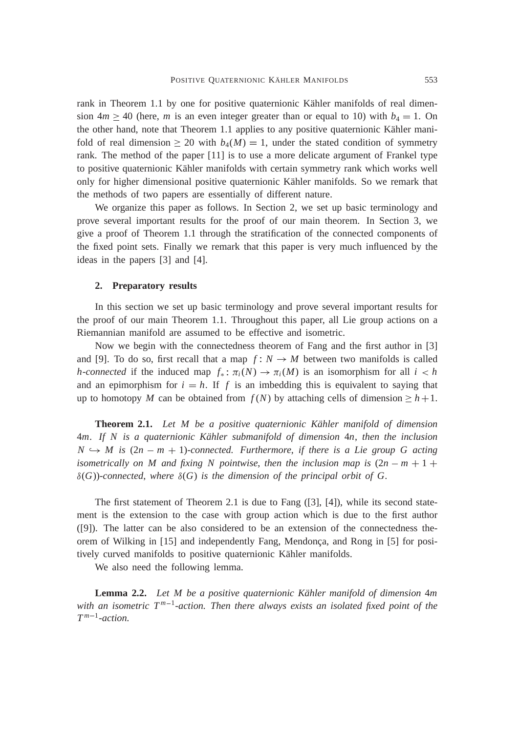rank in Theorem 1.1 by one for positive quaternionic Kähler manifolds of real dimension  $4m \ge 40$  (here, *m* is an even integer greater than or equal to 10) with  $b_4 = 1$ . On the other hand, note that Theorem 1.1 applies to any positive quaternionic Kähler manifold of real dimension  $\geq 20$  with  $b_4(M) = 1$ , under the stated condition of symmetry rank. The method of the paper [11] is to use a more delicate argument of Frankel type to positive quaternionic Kähler manifolds with certain symmetry rank which works well only for higher dimensional positive quaternionic Kähler manifolds. So we remark that the methods of two papers are essentially of different nature.

We organize this paper as follows. In Section 2, we set up basic terminology and prove several important results for the proof of our main theorem. In Section 3, we give a proof of Theorem 1.1 through the stratification of the connected components of the fixed point sets. Finally we remark that this paper is very much influenced by the ideas in the papers [3] and [4].

#### **2. Preparatory results**

In this section we set up basic terminology and prove several important results for the proof of our main Theorem 1.1. Throughout this paper, all Lie group actions on a Riemannian manifold are assumed to be effective and isometric.

Now we begin with the connectedness theorem of Fang and the first author in [3] and [9]. To do so, first recall that a map  $f: N \to M$  between two manifolds is called *h*-connected if the induced map  $f_* : \pi_i(M) \to \pi_i(M)$  is an isomorphism for all  $i < h$ and an epimorphism for  $i = h$ . If f is an imbedding this is equivalent to saying that up to homotopy *M* can be obtained from  $f(N)$  by attaching cells of dimension  $\geq h+1$ .

**Theorem 2.1.** *Let M be a positive quaternionic Kähler manifold of dimension* 4*m. If N is a quaternionic Kähler submanifold of dimension* 4*n*, *then the inclusion*  $N \hookrightarrow M$  is  $(2n - m + 1)$ -connected. Furthermore, if there is a Lie group G acting *isometrically on M and fixing N pointwise, then the inclusion map is*  $(2n - m + 1 +$  $\delta(G)$ )-connected, where  $\delta(G)$  is the dimension of the principal orbit of G.

The first statement of Theorem 2.1 is due to Fang ([3], [4]), while its second statement is the extension to the case with group action which is due to the first author ([9]). The latter can be also considered to be an extension of the connectedness theorem of Wilking in [15] and independently Fang, Mendonça, and Rong in [5] for positively curved manifolds to positive quaternionic Kähler manifolds.

We also need the following lemma.

**Lemma 2.2.** *Let M be a positive quaternionic Kähler manifold of dimension* 4*m* with an isometric  $T^{m-1}$ -action. Then there always exists an isolated fixed point of the  $T^{m-1}$ *-action.*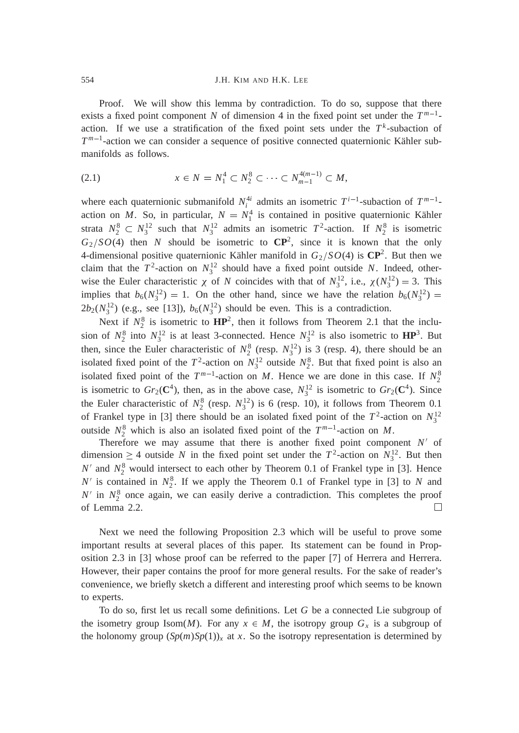Proof. We will show this lemma by contradiction. To do so, suppose that there exists a fixed point component *N* of dimension 4 in the fixed point set under the  $T^{m-1}$ action. If we use a stratification of the fixed point sets under the  $T<sup>k</sup>$ -subaction of  $T^{m-1}$ -action we can consider a sequence of positive connected quaternionic Kähler submanifolds as follows.

(2.1) 
$$
x \in N = N_1^4 \subset N_2^8 \subset \cdots \subset N_{m-1}^{4(m-1)} \subset M,
$$

where each quaternionic submanifold  $N_i^{4i}$  admits an isometric  $T^{i-1}$ -subaction of  $T^{m-1}$ action on *M*. So, in particular,  $N = N_1^4$  is contained in positive quaternionic Kähler strata  $N_2^8 \subset N_3^{12}$  such that  $N_3^{12}$  admits an isometric  $T^2$ -action. If  $N_2^8$  is isometric  $G_2/SO(4)$  then *N* should be isometric to  $\mathbb{CP}^2$ , since it is known that the only 4-dimensional positive quaternionic Kähler manifold in  $G_2/SO(4)$  is  $\mathbb{CP}^2$ . But then we claim that the  $T^2$ -action on  $N_3^{12}$  should have a fixed point outside *N*. Indeed, otherwise the Euler characteristic  $\chi$  of *N* coincides with that of  $N_3^{12}$ , i.e.,  $\chi(N_3^{12}) = 3$ . This implies that  $b_6(N_3^{12}) = 1$ . On the other hand, since we have the relation  $b_6(N_3^{12}) =$  $2b_2(N_3^{12})$  (e.g., see [13]),  $b_6(N_3^{12})$  should be even. This is a contradiction.

Next if  $N_2^8$  is isometric to  $HP^2$ , then it follows from Theorem 2.1 that the inclusion of  $N_2^8$  into  $N_3^{12}$  is at least 3-connected. Hence  $N_3^{12}$  is also isometric to  $HP^3$ . But then, since the Euler characteristic of  $N_2^8$  (resp.  $N_3^{12}$ ) is 3 (resp. 4), there should be an isolated fixed point of the  $T^2$ -action on  $N_3^{12}$  outside  $N_2^8$ . But that fixed point is also an isolated fixed point of the  $T^{m-1}$ -action on *M*. Hence we are done in this case. If  $N_2^8$ is isometric to  $Gr_2(\mathbb{C}^4)$ , then, as in the above case,  $N_3^{12}$  is isometric to  $Gr_2(\mathbb{C}^4)$ . Since the Euler characteristic of  $N_2^8$  (resp.  $N_3^{12}$ ) is 6 (resp. 10), it follows from Theorem 0.1 of Frankel type in [3] there should be an isolated fixed point of the  $T^2$ -action on  $N_3^{12}$ outside  $N_2^8$  which is also an isolated fixed point of the  $T^{m-1}$ -action on *M*.

Therefore we may assume that there is another fixed point component  $N'$  of dimension  $\geq 4$  outside *N* in the fixed point set under the  $T^2$ -action on  $N_3^{12}$ . But then  $N'$  and  $N_2^8$  would intersect to each other by Theorem 0.1 of Frankel type in [3]. Hence  $N'$  is contained in  $N_2^8$ . If we apply the Theorem 0.1 of Frankel type in [3] to *N* and  $N'$  in  $N_2^8$  once again, we can easily derive a contradiction. This completes the proof of Lemma 2.2.  $\Box$ 

Next we need the following Proposition 2.3 which will be useful to prove some important results at several places of this paper. Its statement can be found in Proposition 2.3 in [3] whose proof can be referred to the paper [7] of Herrera and Herrera. However, their paper contains the proof for more general results. For the sake of reader's convenience, we briefly sketch a different and interesting proof which seems to be known to experts.

To do so, first let us recall some definitions. Let *G* be a connected Lie subgroup of the isometry group Isom(*M*). For any  $x \in M$ , the isotropy group  $G_x$  is a subgroup of the holonomy group  $(Sp(m)Sp(1))_x$  at *x*. So the isotropy representation is determined by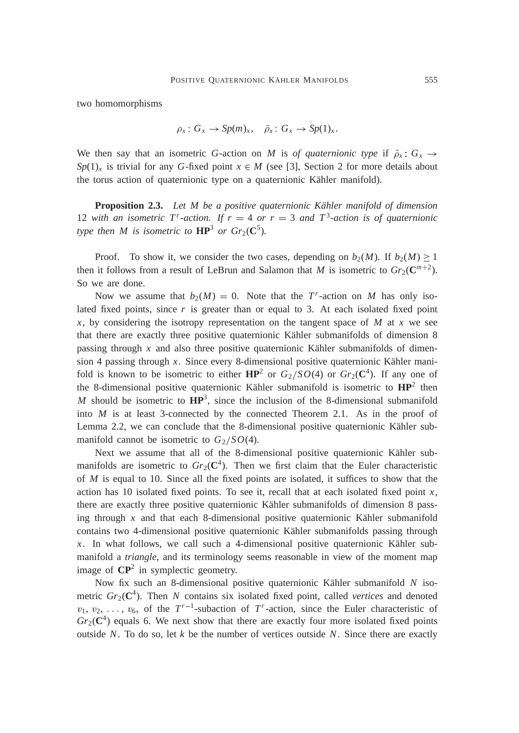two homomorphisms

$$
\rho_x \colon G_x \to \text{Sp}(m)_x, \quad \overline{\rho}_x \colon G_x \to \text{Sp}(1)_x.
$$

We then say that an isometric *G*-action on *M* is *of quaternionic type* if  $\bar{\rho}_x$ :  $G_x \rightarrow$  $Sp(1)_x$  is trivial for any *G*-fixed point  $x \in M$  (see [3], Section 2 for more details about the torus action of quaternionic type on a quaternionic Kähler manifold).

**Proposition 2.3.** *Let M be a positive quaternionic Kähler manifold of dimension* 12 with an isometric  $T^r$ -action. If  $r = 4$  or  $r = 3$  and  $T^3$ -action is of quaternionic *type then M is isometric to*  $\mathbf{HP}^3$  *or Gr*<sub>2</sub>( $\mathbf{C}^5$ ).

Proof. To show it, we consider the two cases, depending on  $b_2(M)$ . If  $b_2(M) \ge 1$ then it follows from a result of LeBrun and Salamon that *M* is isometric to  $Gr_2(\mathbb{C}^{m+2})$ . So we are done.

Now we assume that  $b_2(M) = 0$ . Note that the *T*<sup>*r*</sup>-action on *M* has only isolated fixed points, since  $r$  is greater than or equal to 3. At each isolated fixed point  $x$ , by considering the isotropy representation on the tangent space of  $M$  at  $x$  we see that there are exactly three positive quaternionic Kähler submanifolds of dimension 8 passing through *x* and also three positive quaternionic Kähler submanifolds of dimension 4 passing through *x*. Since every 8-dimensional positive quaternionic Kähler manifold is known to be isometric to either  $HP^2$  or  $G_2/SO(4)$  or  $Gr_2(\mathbb{C}^4)$ . If any one of the 8-dimensional positive quaternionic Kähler submanifold is isometric to **HP**<sup>2</sup> then *M* should be isometric to  $HP^3$ , since the inclusion of the 8-dimensional submanifold into *M* is at least 3-connected by the connected Theorem 2.1. As in the proof of Lemma 2.2, we can conclude that the 8-dimensional positive quaternionic Kähler submanifold cannot be isometric to  $G_2/SO(4)$ .

Next we assume that all of the 8-dimensional positive quaternionic Kähler submanifolds are isometric to  $Gr_2(\mathbb{C}^4)$ . Then we first claim that the Euler characteristic of *M* is equal to 10. Since all the fixed points are isolated, it suffices to show that the action has 10 isolated fixed points. To see it, recall that at each isolated fixed point *x*, there are exactly three positive quaternionic Kähler submanifolds of dimension 8 passing through *x* and that each 8-dimensional positive quaternionic Kähler submanifold contains two 4-dimensional positive quaternionic Kähler submanifolds passing through *x*. In what follows, we call such a 4-dimensional positive quaternionic Kähler submanifold a *triangle*, and its terminology seems reasonable in view of the moment map image of **CP**<sup>2</sup> in symplectic geometry.

Now fix such an 8-dimensional positive quaternionic Kähler submanifold *N* isometric *Gr*2(**C** 4 ). Then *N* contains six isolated fixed point, called *vertices* and denoted  $v_1, v_2, \ldots, v_6$ , of the  $T^{r-1}$ -subaction of  $T^r$ -action, since the Euler characteristic of  $Gr_2(\mathbb{C}^4)$  equals 6. We next show that there are exactly four more isolated fixed points outside *N*. To do so, let *k* be the number of vertices outside *N*. Since there are exactly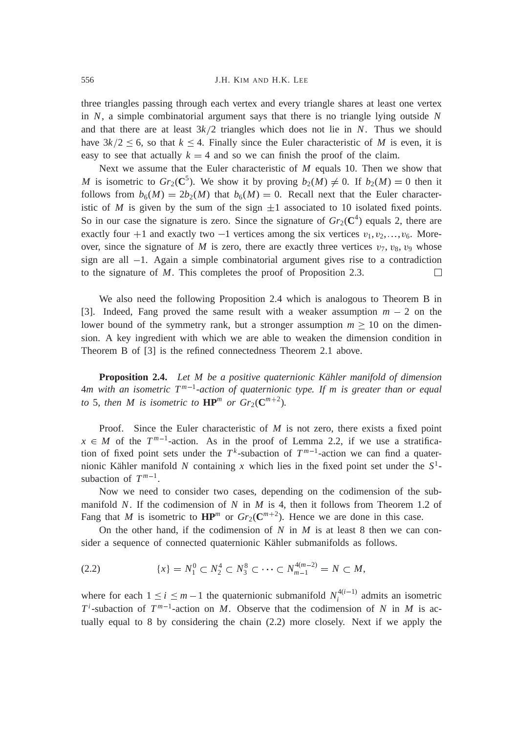three triangles passing through each vertex and every triangle shares at least one vertex in *N*, a simple combinatorial argument says that there is no triangle lying outside *N* and that there are at least  $3k/2$  triangles which does not lie in *N*. Thus we should have  $3k/2 \le 6$ , so that  $k \le 4$ . Finally since the Euler characteristic of *M* is even, it is easy to see that actually  $k = 4$  and so we can finish the proof of the claim.

Next we assume that the Euler characteristic of *M* equals 10. Then we show that *M* is isometric to  $Gr_2(\mathbb{C}^5)$ . We show it by proving  $b_2(M) \neq 0$ . If  $b_2(M) = 0$  then it follows from  $b_6(M) = 2b_2(M)$  that  $b_6(M) = 0$ . Recall next that the Euler characteristic of *M* is given by the sum of the sign  $\pm 1$  associated to 10 isolated fixed points. So in our case the signature is zero. Since the signature of  $Gr_2(\mathbb{C}^4)$  equals 2, there are exactly four +1 and exactly two -1 vertices among the six vertices  $v_1, v_2, \ldots, v_6$ . Moreover, since the signature of *M* is zero, there are exactly three vertices  $v_7$ ,  $v_8$ ,  $v_9$  whose sign are all  $-1$ . Again a simple combinatorial argument gives rise to a contradiction to the signature of *M*. This completes the proof of Proposition 2.3. □

We also need the following Proposition 2.4 which is analogous to Theorem B in [3]. Indeed, Fang proved the same result with a weaker assumption  $m - 2$  on the lower bound of the symmetry rank, but a stronger assumption  $m \geq 10$  on the dimension. A key ingredient with which we are able to weaken the dimension condition in Theorem B of [3] is the refined connectedness Theorem 2.1 above.

**Proposition 2.4.** *Let M be a positive quaternionic Kähler manifold of dimension* 4*m with an isometric T <sup>m</sup>*<sup>1</sup> *-action of quaternionic type. If m is greater than or equal to* 5, *then M is isometric to*  $\mathbf{HP}^m$  *or*  $Gr_2(\mathbf{C}^{m+2})$ *.* 

Proof. Since the Euler characteristic of *M* is not zero, there exists a fixed point  $x \in M$  of the  $T^{m-1}$ -action. As in the proof of Lemma 2.2, if we use a stratification of fixed point sets under the  $T^k$ -subaction of  $T^{m-1}$ -action we can find a quaternionic Kähler manifold N containing x which lies in the fixed point set under the  $S^1$ subaction of  $T^{m-1}$ .

Now we need to consider two cases, depending on the codimension of the submanifold *N*. If the codimension of *N* in *M* is 4, then it follows from Theorem 1.2 of Fang that *M* is isometric to  $\mathbf{HP}^m$  or  $Gr_2(\mathbf{C}^{m+2})$ . Hence we are done in this case.

On the other hand, if the codimension of *N* in *M* is at least 8 then we can consider a sequence of connected quaternionic Kähler submanifolds as follows.

$$
(2.2) \t\t\t\t \{x\} = N_1^0 \subset N_2^4 \subset N_3^8 \subset \cdots \subset N_{m-1}^{4(m-2)} = N \subset M,
$$

where for each  $1 \le i \le m-1$  the quaternionic submanifold  $N_i^{4(i-1)}$  admits an isometric  $T^i$ -subaction of  $T^{m-1}$ -action on *M*. Observe that the codimension of *N* in *M* is actually equal to 8 by considering the chain (2.2) more closely. Next if we apply the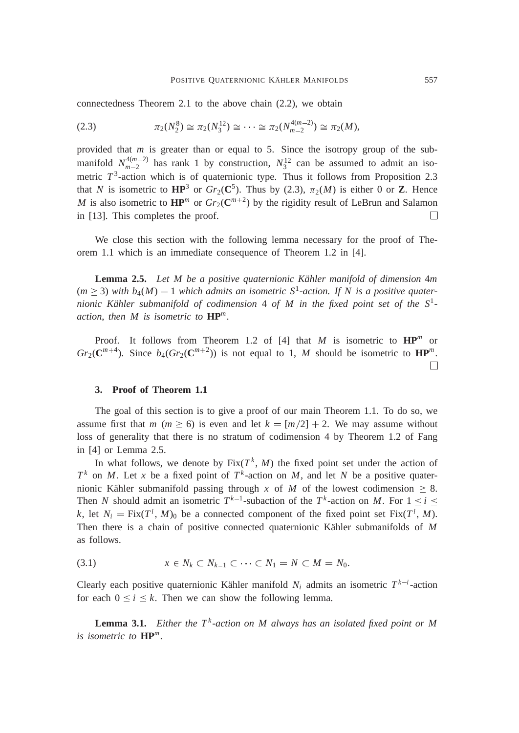connectedness Theorem 2.1 to the above chain (2.2), we obtain

(2.3) <sup>2</sup>(*N* 8 2 ) <sup>2</sup>(*N* 12 3 ) <sup>2</sup>(*N* 4(*m*2) *m*2 ) <sup>2</sup>(*M*),

provided that *m* is greater than or equal to 5. Since the isotropy group of the submanifold  $N_{m-2}^{4(m-2)}$  has rank 1 by construction,  $N_3^{12}$  can be assumed to admit an isometric  $T^3$ -action which is of quaternionic type. Thus it follows from Proposition 2.3 that *N* is isometric to  $HP^3$  or  $Gr_2(C^5)$ . Thus by (2.3),  $\pi_2(M)$  is either 0 or **Z**. Hence *M* is also isometric to  $\mathbf{HP}^m$  or  $Gr_2(\mathbf{C}^{m+2})$  by the rigidity result of LeBrun and Salamon in [13]. This completes the proof.  $\Box$ 

We close this section with the following lemma necessary for the proof of Theorem 1.1 which is an immediate consequence of Theorem 1.2 in [4].

**Lemma 2.5.** *Let M be a positive quaternionic Kähler manifold of dimension* 4*m*  $(m \geq 3)$  with  $b_4(M) = 1$  which admits an isometric  $S^1$ -action. If N is a positive quater*nionic Kähler submanifold of codimension* 4 *of M in the fixed point set of the S*<sup>1</sup>  *action*, *then M is isometric to* **HP***<sup>m</sup> .*

Proof. It follows from Theorem 1.2 of [4] that *M* is isometric to  $HP^m$  or  $Gr_2(\mathbb{C}^{m+4})$ . Since  $b_4(Gr_2(\mathbb{C}^{m+2}))$  is not equal to 1, *M* should be isometric to  $\mathbb{HP}^m$ .  $\Box$ 

#### **3. Proof of Theorem 1.1**

The goal of this section is to give a proof of our main Theorem 1.1. To do so, we assume first that *m* ( $m \ge 6$ ) is even and let  $k = \lfloor m/2 \rfloor + 2$ . We may assume without loss of generality that there is no stratum of codimension 4 by Theorem 1.2 of Fang in [4] or Lemma 2.5.

In what follows, we denote by  $Fix(T^k, M)$  the fixed point set under the action of  $T^k$  on *M*. Let *x* be a fixed point of  $T^k$ -action on *M*, and let *N* be a positive quaternionic Kähler submanifold passing through *x* of *M* of the lowest codimension  $\geq 8$ . Then *N* should admit an isometric  $T^{k-1}$ -subaction of the  $T^k$ -action on *M*. For  $1 \le i \le n$ *k*, let  $N_i = \text{Fix}(T^i, M)_0$  be a connected component of the fixed point set  $\text{Fix}(T^i, M)$ . Then there is a chain of positive connected quaternionic Kähler submanifolds of *M* as follows.

$$
(3.1) \t x \in N_k \subset N_{k-1} \subset \cdots \subset N_1 = N \subset M = N_0.
$$

Clearly each positive quaternionic Kähler manifold  $N_i$  admits an isometric  $T^{k-i}$ -action for each  $0 \le i \le k$ . Then we can show the following lemma.

**Lemma 3.1.** *Either the T<sup>k</sup>-action on M always has an isolated fixed point or M is isometric to* **HP***<sup>m</sup> .*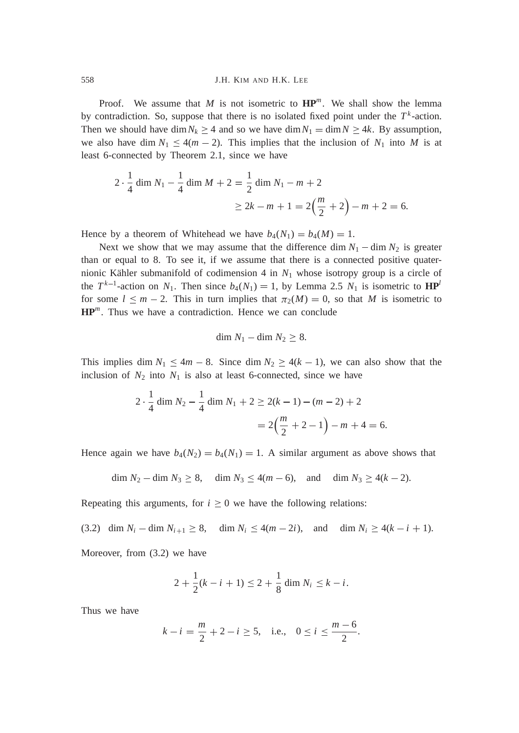Proof. We assume that  $M$  is not isometric to  $\mathbf{HP}^m$ . We shall show the lemma by contradiction. So, suppose that there is no isolated fixed point under the  $T<sup>k</sup>$ -action. Then we should have dim  $N_k \geq 4$  and so we have dim  $N_1 = \dim N \geq 4k$ . By assumption, we also have dim  $N_1 \leq 4(m-2)$ . This implies that the inclusion of  $N_1$  into M is at least 6-connected by Theorem 2.1, since we have

$$
2 \cdot \frac{1}{4} \dim N_1 - \frac{1}{4} \dim M + 2 = \frac{1}{2} \dim N_1 - m + 2
$$
  
 
$$
\geq 2k - m + 1 = 2\left(\frac{m}{2} + 2\right) - m + 2 = 6.
$$

Hence by a theorem of Whitehead we have  $b_4(N_1) = b_4(M) = 1$ .

Next we show that we may assume that the difference dim  $N_1 - \dim N_2$  is greater than or equal to 8. To see it, if we assume that there is a connected positive quaternionic Kähler submanifold of codimension  $4$  in  $N_1$  whose isotropy group is a circle of the  $T^{k-1}$ -action on  $N_1$ . Then since  $b_4(N_1) = 1$ , by Lemma 2.5  $N_1$  is isometric to  $\mathbf{HP}^l$ for some  $l \leq m - 2$ . This in turn implies that  $\pi_2(M) = 0$ , so that *M* is isometric to **HP***<sup>m</sup>* . Thus we have a contradiction. Hence we can conclude

$$
\dim N_1 - \dim N_2 \geq 8.
$$

This implies dim  $N_1 \leq 4m - 8$ . Since dim  $N_2 \geq 4(k - 1)$ , we can also show that the inclusion of  $N_2$  into  $N_1$  is also at least 6-connected, since we have

$$
2 \cdot \frac{1}{4} \dim N_2 - \frac{1}{4} \dim N_1 + 2 \ge 2(k - 1) - (m - 2) + 2
$$
  
=  $2\left(\frac{m}{2} + 2 - 1\right) - m + 4 = 6.$ 

Hence again we have  $b_4(N_2) = b_4(N_1) = 1$ . A similar argument as above shows that

$$
\dim N_2 - \dim N_3 \ge 8
$$
,  $\dim N_3 \le 4(m-6)$ , and  $\dim N_3 \ge 4(k-2)$ .

Repeating this arguments, for  $i \geq 0$  we have the following relations:

(3.2) dim 
$$
N_i
$$
 – dim  $N_{i+1} \ge 8$ , dim  $N_i \le 4(m-2i)$ , and dim  $N_i \ge 4(k-i+1)$ .

Moreover, from (3.2) we have

$$
2 + \frac{1}{2}(k - i + 1) \le 2 + \frac{1}{8} \dim N_i \le k - i.
$$

Thus we have

$$
k - i = \frac{m}{2} + 2 - i \ge 5
$$
, i.e.,  $0 \le i \le \frac{m - 6}{2}$ .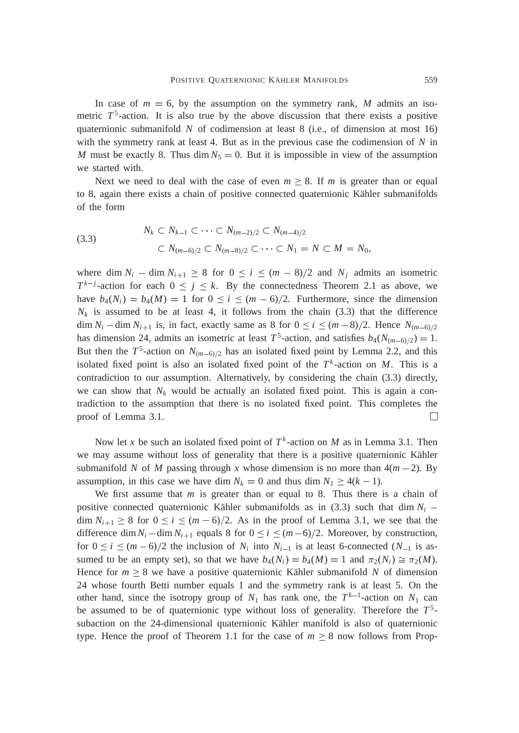In case of  $m = 6$ , by the assumption on the symmetry rank, *M* admits an isometric  $T^5$ -action. It is also true by the above discussion that there exists a positive quaternionic submanifold *N* of codimension at least 8 (i.e., of dimension at most 16) with the symmetry rank at least 4. But as in the previous case the codimension of *N* in *M* must be exactly 8. Thus dim  $N_5 = 0$ . But it is impossible in view of the assumption we started with.

Next we need to deal with the case of even  $m \geq 8$ . If *m* is greater than or equal to 8, again there exists a chain of positive connected quaternionic Kähler submanifolds of the form

(3.3) 
$$
N_k \subset N_{k-1} \subset \cdots \subset N_{(m-2)/2} \subset N_{(m-4)/2}
$$

$$
\subset N_{(m-6)/2} \subset N_{(m-8)/2} \subset \cdots \subset N_1 = N \subset M = N_0,
$$

where dim  $N_i$  – dim  $N_{i+1} \geq 8$  for  $0 \leq i \leq (m-8)/2$  and  $N_i$  admits an isometric  $T^{k-j}$ -action for each  $0 \leq j \leq k$ . By the connectedness Theorem 2.1 as above, we have  $b_4(N_i) = b_4(M) = 1$  for  $0 \le i \le (m-6)/2$ . Furthermore, since the dimension  $N_k$  is assumed to be at least 4, it follows from the chain (3.3) that the difference  $\dim N_i - \dim N_{i+1}$  is, in fact, exactly same as 8 for  $0 \le i \le (m-8)/2$ . Hence  $N_{(m-6)/2}$ has dimension 24, admits an isometric at least  $T^5$ -action, and satisfies  $b_4(N_{(m-6)/2}) = 1$ . But then the  $T^5$ -action on  $N_{(m-6)/2}$  has an isolated fixed point by Lemma 2.2, and this isolated fixed point is also an isolated fixed point of the  $T^k$ -action on *M*. This is a contradiction to our assumption. Alternatively, by considering the chain (3.3) directly, we can show that  $N_k$  would be actually an isolated fixed point. This is again a contradiction to the assumption that there is no isolated fixed point. This completes the proof of Lemma 3.1.  $\Box$ 

Now let *x* be such an isolated fixed point of  $T^k$ -action on *M* as in Lemma 3.1. Then we may assume without loss of generality that there is a positive quaternionic Kähler submanifold *N* of *M* passing through *x* whose dimension is no more than  $4(m-2)$ . By assumption, in this case we have dim  $N_k = 0$  and thus dim  $N_1 \ge 4(k - 1)$ .

We first assume that *m* is greater than or equal to 8. Thus there is a chain of positive connected quaternionic Kähler submanifolds as in  $(3.3)$  such that dim  $N_i$  $\dim N_{i+1} \geq 8$  for  $0 \leq i \leq (m-6)/2$ . As in the proof of Lemma 3.1, we see that the difference dim  $N_i$  -dim  $N_{i+1}$  equals 8 for  $0 \le i \le (m-6)/2$ . Moreover, by construction, for  $0 \le i \le (m-6)/2$  the inclusion of  $N_i$  into  $N_{i-1}$  is at least 6-connected  $(N_{-1}$  is assumed to be an empty set), so that we have  $b_4(N_i) = b_4(M) = 1$  and  $\pi_2(N_i) \cong \pi_2(M)$ . Hence for  $m \geq 8$  we have a positive quaternionic Kähler submanifold N of dimension 24 whose fourth Betti number equals 1 and the symmetry rank is at least 5. On the other hand, since the isotropy group of  $N_1$  has rank one, the  $T^{k-1}$ -action on  $N_1$  can be assumed to be of quaternionic type without loss of generality. Therefore the *T* 5 subaction on the 24-dimensional quaternionic Kähler manifold is also of quaternionic type. Hence the proof of Theorem 1.1 for the case of  $m \geq 8$  now follows from Prop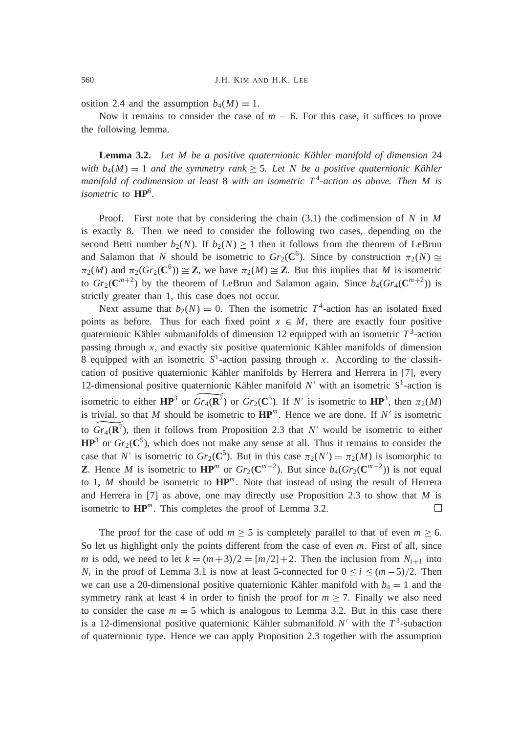osition 2.4 and the assumption  $b_4(M) = 1$ .

Now it remains to consider the case of  $m = 6$ . For this case, it suffices to prove the following lemma.

**Lemma 3.2.** *Let M be a positive quaternionic Kähler manifold of dimension* 24 *with*  $b_4(M) = 1$  *and the symmetry rank*  $\geq$  5*. Let N be a positive quaternionic Kähler manifold of codimension at least* 8 *with an isometric T* <sup>4</sup> *-action as above. Then M is isometric to* **HP**<sup>6</sup> *.*

Proof. First note that by considering the chain (3.1) the codimension of *N* in *M* is exactly 8. Then we need to consider the following two cases, depending on the second Betti number  $b_2(N)$ . If  $b_2(N) \geq 1$  then it follows from the theorem of LeBrun and Salamon that *N* should be isometric to  $Gr_2(\mathbb{C}^6)$ . Since by construction  $\pi_2(N) \cong$  $\pi_2(M)$  and  $\pi_2(\text{Gr}_2(\text{C}^6)) \cong \mathbb{Z}$ , we have  $\pi_2(M) \cong \mathbb{Z}$ . But this implies that *M* is isometric to  $Gr_2(\mathbb{C}^{m+2})$  by the theorem of LeBrun and Salamon again. Since  $b_4(Gr_4(\mathbb{C}^{m+2}))$  is strictly greater than 1, this case does not occur.

Next assume that  $b_2(N) = 0$ . Then the isometric  $T^4$ -action has an isolated fixed points as before. Thus for each fixed point  $x \in M$ , there are exactly four positive quaternionic Kähler submanifolds of dimension 12 equipped with an isometric  $T^3$ -action passing through *x*, and exactly six positive quaternionic Kähler manifolds of dimension 8 equipped with an isometric  $S^1$ -action passing through *x*. According to the classification of positive quaternionic Kähler manifolds by Herrera and Herrera in [7], every 12-dimensional positive quaternionic Kähler manifold  $N'$  with an isometric  $S^1$ -action is isometric to either  $\mathbf{HP}^3$  or  $Gr_4(\mathbf{R}^7)$  or  $Gr_2(\mathbf{C}^5)$ . If N' is isometric to  $\mathbf{HP}^3$ , then  $\pi_2(M)$ is trivial, so that *M* should be isometric to  $HP^m$ . Hence we are done. If *N'* is isometric to  $Gr_4(\mathbf{R}^7)$ , then it follows from Proposition 2.3 that N' would be isometric to either  $HP<sup>3</sup>$  or  $Gr_2(C<sup>5</sup>)$ , which does not make any sense at all. Thus it remains to consider the case that *N'* is isometric to  $Gr_2(\mathbb{C}^5)$ . But in this case  $\pi_2(N') = \pi_2(M)$  is isomorphic to **Z**. Hence *M* is isometric to  $\mathbf{HP}^m$  or  $Gr_2(\mathbf{C}^{m+2})$ . But since  $b_4(Gr_2(\mathbf{C}^{m+2}))$  is not equal to 1, *M* should be isometric to **HP***<sup>m</sup>* . Note that instead of using the result of Herrera and Herrera in [7] as above, one may directly use Proposition 2.3 to show that *M* is isometric to  $\mathbf{HP}^m$ . This completes the proof of Lemma 3.2.  $\Box$ 

The proof for the case of odd  $m \geq 5$  is completely parallel to that of even  $m \geq 6$ . So let us highlight only the points different from the case of even *m*. First of all, since *m* is odd, we need to let  $k = (m+3)/2 = [m/2]+2$ . Then the inclusion from  $N_{i+1}$  into *N<sub>i</sub>* in the proof of Lemma 3.1 is now at least 5-connected for  $0 \le i \le (m-5)/2$ . Then we can use a 20-dimensional positive quaternionic Kähler manifold with  $b_4 = 1$  and the symmetry rank at least 4 in order to finish the proof for  $m \ge 7$ . Finally we also need to consider the case  $m = 5$  which is analogous to Lemma 3.2. But in this case there is a 12-dimensional positive quaternionic Kähler submanifold  $N'$  with the  $T^3$ -subaction of quaternionic type. Hence we can apply Proposition 2.3 together with the assumption